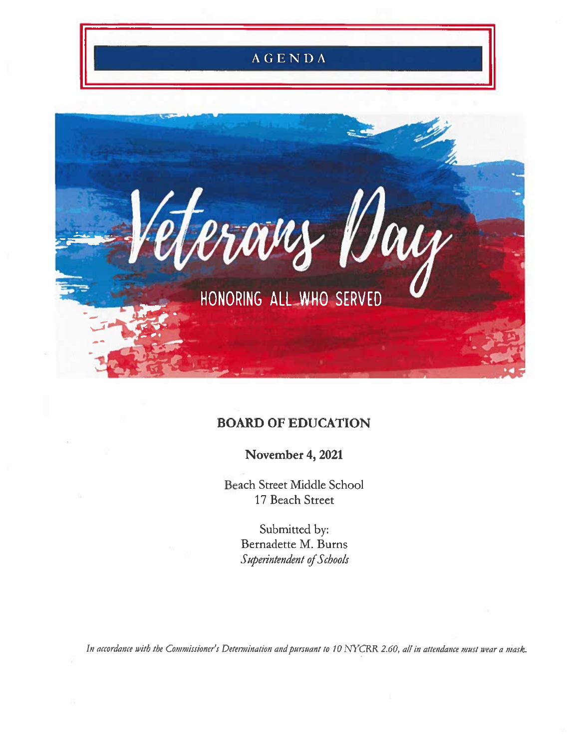

# **BOARD OF EDUCATION**

November 4, 2021

Beach Street Middle School 17 Beach Street

> Submitted by: Bernadette M. Burns Superintendent of Schools

In accordance with the Commissioner's Determination and pursuant to 10 NYCRR 2.60, all in attendance must wear a mask.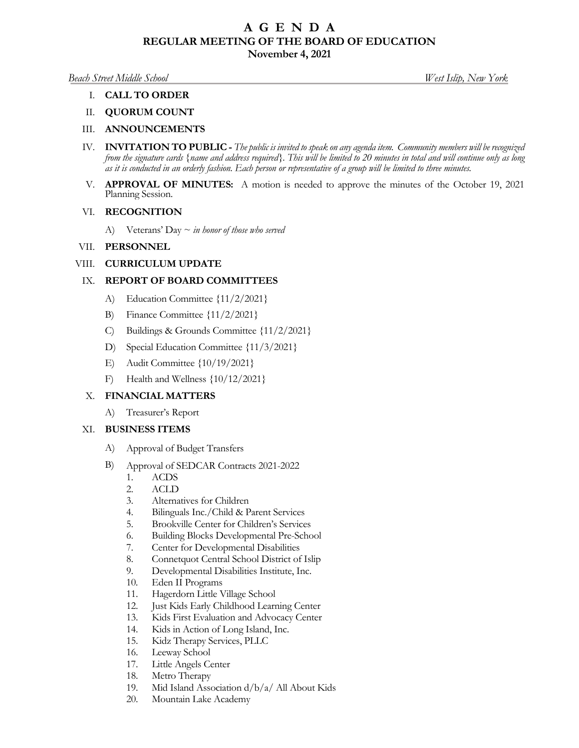# **A G E N D A REGULAR MEETING OF THE BOARD OF EDUCATION**

**November 4, 2021** 

#### *Beach Street Middle School West Islip, New York*

### I. **CALL TO ORDER**

# II. **QUORUM COUNT**

### III. **ANNOUNCEMENTS**

- IV. **INVITATION TO PUBLIC** *The public is invited to speak on any agenda item. Community members will be recognized from the signature cards {name and address required}. This will be limited to 20 minutes in total and will continue only as long as it is conducted in an orderly fashion. Each person or representative of a group will be limited to three minutes.*
- V. **APPROVAL OF MINUTES:** A motion is needed to approve the minutes of the October 19, 2021 Planning Session.

#### VI. **RECOGNITION**

A) Veterans' Day ~ *in honor of those who served*

#### VII. **PERSONNEL**

### VIII. **CURRICULUM UPDATE**

# IX. **REPORT OF BOARD COMMITTEES**

- A) Education Committee  $\{11/2/2021\}$ <br>B) Finance Committee  $\{11/2/2021\}$
- B) Finance Committee  $\{11/2/2021\}$ <br>C) Buildings & Grounds Committee
- C) Buildings & Grounds Committee  $\{11/2/2021\}$ <br>D) Special Education Committee  $\{11/3/2021\}$
- D) Special Education Committee  ${11/3/2021}$ <br>E) Audit Committee  ${10/19/2021}$
- 
- E) Audit Committee  $\{10/19/2021\}$ <br>F) Health and Wellness  $\{10/12/202\}$ F) Health and Wellness {10/12/2021}

### X. **FINANCIAL MATTERS**

A) Treasurer's Report

#### XI. **BUSINESS ITEMS**

- 
- -
	-
	-
	-
	-
	-
	-
	-
	-
	-
	-
	-
	-
	-
	-
	-
	-
	-
- A) Approval of Budget Transfers<br>
B) Approval of SEDCAR Contracts 2021-2022<br>
1. ACDS<br>
2. ACLD<br>
3. Alternatives for Children<br>
4. Bilinguals Inc./Child & Parent Services<br>
5. Brookville Center for Children's Services<br>
6. Build
	-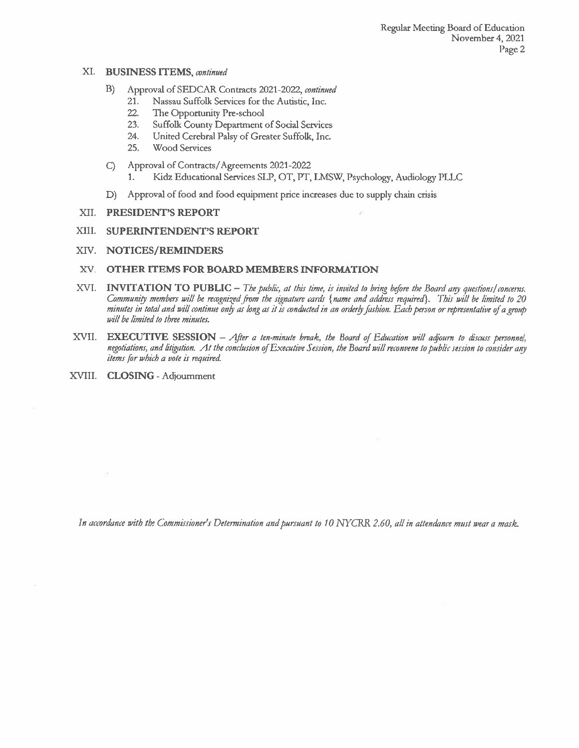#### XI. BUSINESS ITEMS, continued

- Approval of SEDCAR Contracts 2021-2022, continued B)
	- 21. Nassau Suffolk Services for the Autistic, Inc.
	- 22. The Opportunity Pre-school
	- 23. Suffolk County Department of Social Services
	- United Cerebral Palsy of Greater Suffolk, Inc. 24.
	- 25. **Wood Services**
- Approval of Contracts/Agreements 2021-2022  $\mathcal{C}$ 
	- Kidz Educational Services SLP, OT, PT, LMSW, Psychology, Audiology PLLC 1.
- Approval of food and food equipment price increases due to supply chain crisis D)

### XII. PRESIDENT'S REPORT

XIII. **SUPERINTENDENT'S REPORT** 

### XIV. NOTICES/REMINDERS

### XV. OTHER ITEMS FOR BOARD MEMBERS INFORMATION

- XVI. INVITATION TO PUBLIC The public, at this time, is invited to bring before the Board any questions/concerns. Community members will be recognized from the signature cards {name and address required}. This will be limited to 20 minutes in total and will continue only as long as it is conducted in an orderly fashion. Each person or representative of a group will be limited to three minutes.
- EXECUTIVE SESSION After a ten-minute break, the Board of Education will adjourn to discuss personnel, XVII. negotiations, and litigation. At the conclusion of Executive Session, the Board will reconvene to public session to consider any items for which a vote is required.
- XVIII. CLOSING Adjournment

×

In accordance with the Commissioner's Determination and pursuant to 10 NYCRR 2.60, all in attendance must wear a mask.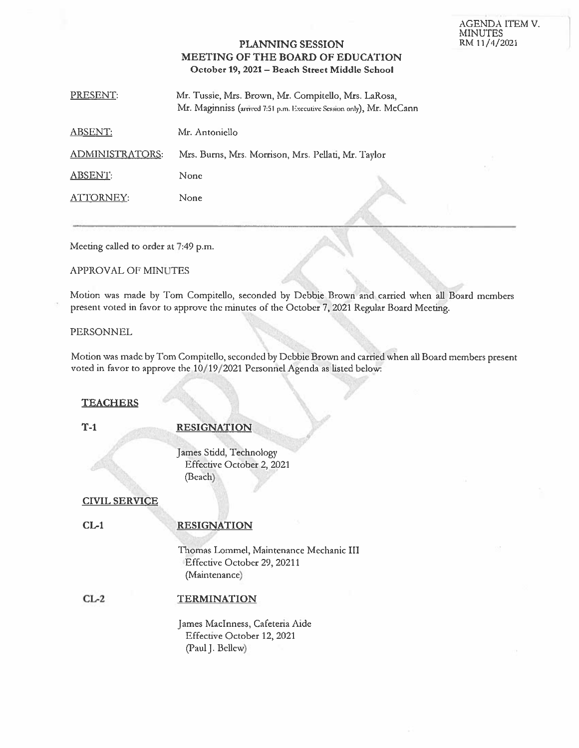#### AGENDA ITEM V. **MINUTES** RM 11/4/2021

# **PLANNING SESSION** MEETING OF THE BOARD OF EDUCATION October 19, 2021 - Beach Street Middle School

PRESENT: Mr. Tussie, Mrs. Brown, Mr. Compitello, Mrs. LaRosa, Mr. Maginniss (arrived 7:51 p.m. Executive Session only), Mr. McCann

**ABSENT:** Mr. Antoniello

**ADMINISTRATORS:** Mrs. Burns, Mrs. Morrison, Mrs. Pellati, Mr. Taylor

None **ABSENT:** 

ATTORNEY: None

Meeting called to order at 7:49 p.m.

### **APPROVAL OF MINUTES**

Motion was made by Tom Compitello, seconded by Debbie Brown and carried when all Board members present voted in favor to approve the minutes of the October 7, 2021 Regular Board Meeting.

#### **PERSONNEL**

Motion was made by Tom Compitello, seconded by Debbie Brown and carried when all Board members present voted in favor to approve the 10/19/2021 Personnel Agenda as listed below:

# **TEACHERS**

 $T-1$ 

## **RESIGNATION**

James Stidd, Technology Effective October 2, 2021 (Beach)

### **CIVIL SERVICE**

### $CL-1$

# **RESIGNATION**

Thomas Lommel, Maintenance Mechanic III Effective October 29, 20211 (Maintenance)

#### $CL-2$ **TERMINATION**

James MacInness, Cafeteria Aide Effective October 12, 2021 (Paul J. Bellew)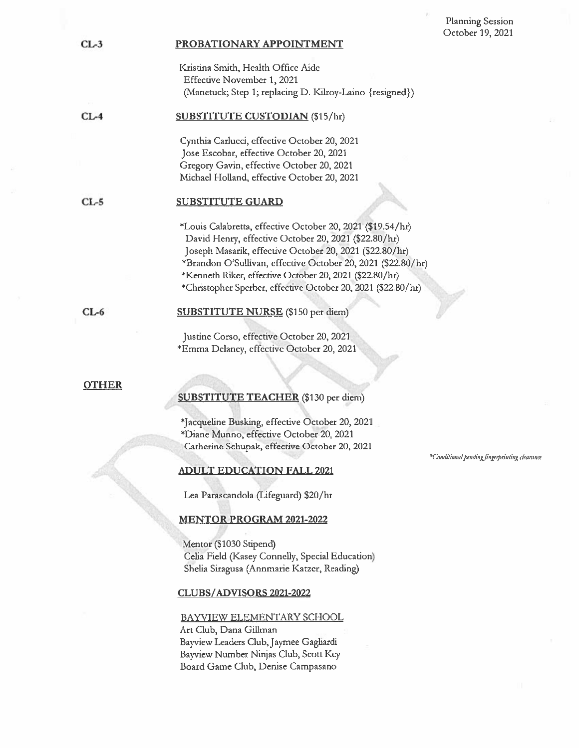#### PROBATIONARY APPOINTMENT

Kristina Smith, Health Office Aide Effective November 1, 2021 (Manetuck; Step 1; replacing D. Kilroy-Laino {resigned})

#### $CL-4$ SUBSTITUTE CUSTODIAN (\$15/hr)

Cynthia Carlucci, effective October 20, 2021 Jose Escobar, effective October 20, 2021 Gregory Gavin, effective October 20, 2021 Michael Holland, effective October 20, 2021

#### $CL-5$ **SUBSTITUTE GUARD**

\*Louis Calabretta, effective October 20, 2021 (\$19.54/hr) David Henry, effective October 20, 2021 (\$22.80/hr) Joseph Masarik, effective October 20, 2021 (\$22.80/hr) \*Brandon O'Sullivan, effective October 20, 2021 (\$22.80/hr) \*Kenneth Riker, effective October 20, 2021 (\$22.80/hr) \*Christopher Sperber, effective October 20, 2021 (\$22.80/hr)

 $CL-6$ 

#### **SUBSTITUTE NURSE** (\$150 per diem)

Justine Corso, effective October 20, 2021 \*Emma Delaney, effective October 20, 2021

### **OTHER**

### **SUBSTITUTE TEACHER** (\$130 per diem)

\*Jacqueline Busking, effective October 20, 2021 \*Diane Munno, effective October 20, 2021 Catherine Schupak, effective October 20, 2021

#### **ADULT EDUCATION FALL 2021**

Lea Parascandola (Lifeguard) \$20/hr

#### **MENTOR PROGRAM 2021-2022**

Mentor (\$1030 Stipend) Celia Field (Kasey Connelly, Special Education) Shelia Siragusa (Annmarie Katzer, Reading)

#### **CLUBS/ADVISORS 2021-2022**

#### BAYVIEW ELEMENTARY SCHOOL

Art Club, Dana Gillman Bayview Leaders Club, Jaymee Gagliardi Bayview Number Ninjas Club, Scott Key Board Game Club, Denise Campasano

\*Conditional pending fingerprinting clearance

 $CL-3$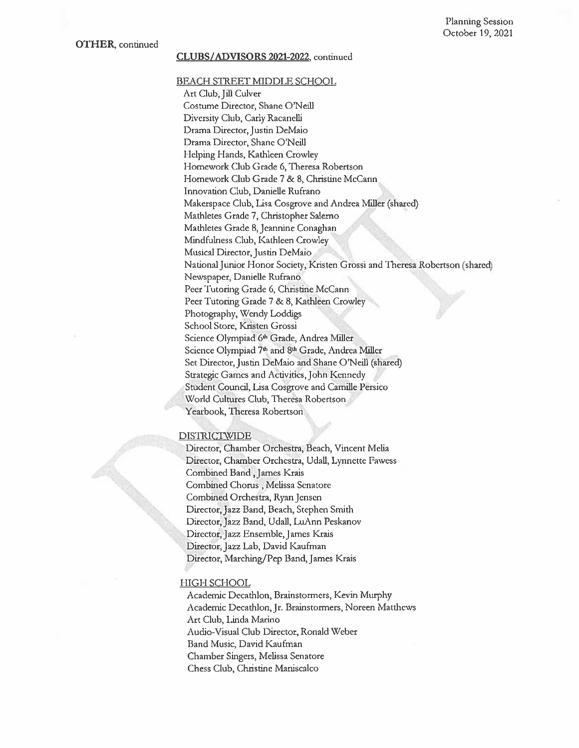#### CLUBS/ADVISORS 2021-2022, continued

BEACH STREET MIDDLE SCHOOL Art Club, Jill Culver Costume Director, Shane O'Neill Diversity Club, Carly Racanelli Drama Director, Justin DeMaio Drama Director, Shane O'Neill Helping Hands, Kathleen Crowley Homework Club Grade 6, Theresa Robertson Homework Club Grade 7 & 8, Christine McCann Innovation Club, Danielle Rufrano Makerspace Club, Lisa Cosgrove and Andrea Miller (shared) Mathletes Grade 7, Christopher Salerno Mathletes Grade 8, Jeannine Conaghan Mindfulness Club, Kathleen Crowley Musical Director, Justin DeMaio National Junior Honor Society, Kristen Grossi and Theresa Robertson (shared) Newspaper, Danielle Rufrano Peer Tutoring Grade 6, Christine McCann Peer Tutoring Grade 7 & 8, Kathleen Crowley Photography, Wendy Loddigs School Store, Kristen Grossi Science Olympiad 6th Grade, Andrea Miller Science Olympiad 7th and 8th Grade, Andrea Miller Set Director, Justin DeMaio and Shane O'Neill (shared) Strategic Games and Activities, John Kennedy Student Council, Lisa Cosgrove and Camille Persico World Cultures Club, Theresa Robertson Yearbook, Theresa Robertson

#### **DISTRICTWIDE**

Director, Chamber Orchestra, Beach, Vincent Melia Director, Chamber Orchestra, Udall, Lynnette Fawess Combined Band, James Krais Combined Chorus, Melissa Senatore Combined Orchestra, Ryan Jensen Director, Jazz Band, Beach, Stephen Smith Director, Jazz Band, Udall, LuAnn Peskanov Director, Jazz Ensemble, James Krais Director, Jazz Lab, David Kaufman Director, Marching/Pep Band, James Krais

#### **HIGH SCHOOL**

Academic Decathlon, Brainstormers, Kevin Murphy Academic Decathlon, Jr. Brainstormers, Noreen Matthews Art Club, Linda Marino Audio-Visual Club Director, Ronald Weber Band Music, David Kaufman Chamber Singers, Melissa Senatore Chess Club, Christine Maniscalco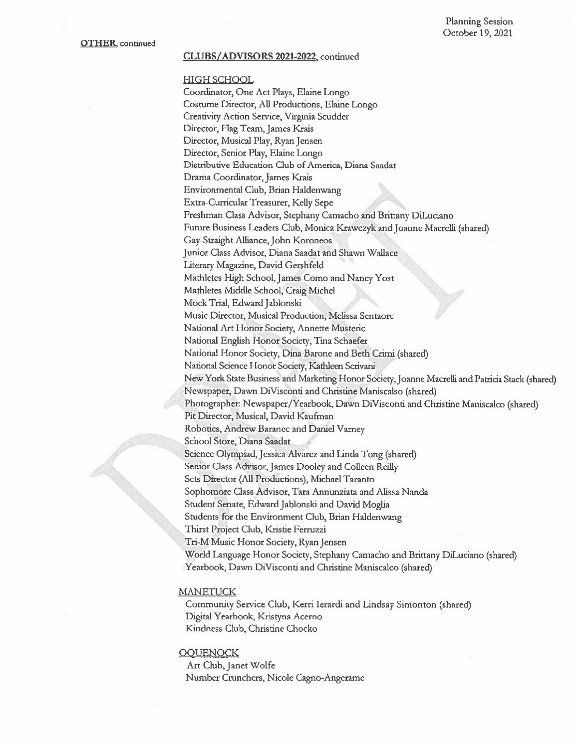#### **CLUBS/ADVISORS 2021-2022**, continued

#### HIGH SCHOOL

Coordinator, One Act Plays, Elaine Longo Costume Director, All Productions, Elaine Longo Creativity Action Service, Virginia Scudder Director, Flag Team, James Krais Director, Musical Play, Ryan Jensen Director, Senior Play, Elaine Longo Distributive Education Club of America, Diana Saadat Drama Coordinator, James Krais Environmental Club, Brian Haldenwang Extra-Curricular Treasurer, Kelly Sepe Freshman Class Advisor, Stephany Camacho and Brittany DiLuciano Future Business Leaders Club, Monica Krawczyk and Joanne Macrelli (shared) Gay-Straight Alliance, John Koroneos Junior Class Advisor, Diana Saadat and Shawn Wallace Literary Magazine, David Gershfeld Mathletes High School, James Como and Nancy Yost Mathletes Middle School, Craig Michel Mock Trial, Edward Jablonski Music Director, Musical Production, Melissa Sentaore National Art Honor Society, Annette Musteric National English Honor Society, Tina Schaefer National Honor Society, Dina Barone and Beth Crimi (shared) National Science Honor Society, Kathleen Scrivani New York State Business and Marketing Honor Society, Joanne Macrelli and Patricia Stack (shared) Newspaper, Dawn DiVisconti and Christine Maniscalso (shared) Photographer: Newspaper/Yearbook, Dawn DiVisconti and Christine Maniscalco (shared) Pit Director, Musical, David Kaufman Robotics, Andrew Baranec and Daniel Varney School Store, Diana Saadat Science Olympiad, Jessica Alvarez and Linda Tong (shared) Senior Class Advisor, James Dooley and Colleen Reilly Sets Director (All Productions), Michael Taranto Sophomore Class Advisor, Tara Annunziata and Alissa Nanda Student Senate, Edward Jablonski and David Moglia Students for the Environment Club, Brian Haldenwang Thirst Project Club, Kristie Ferruzzi Tri-M Music Honor Society, Ryan Jensen World Language Honor Society, Stephany Camacho and Brittany DiLuciano (shared) Yearbook, Dawn DiVisconti and Christine Maniscalco (shared)

#### **MANETUCK**

Community Service Club, Kerri Ierardi and Lindsay Simonton (shared) Digital Yearbook, Kristyna Acerno Kindness Club, Christine Chocko

#### **OOUENOCK**

Art Club, Janet Wolfe Number Crunchers, Nicole Cagno-Angerame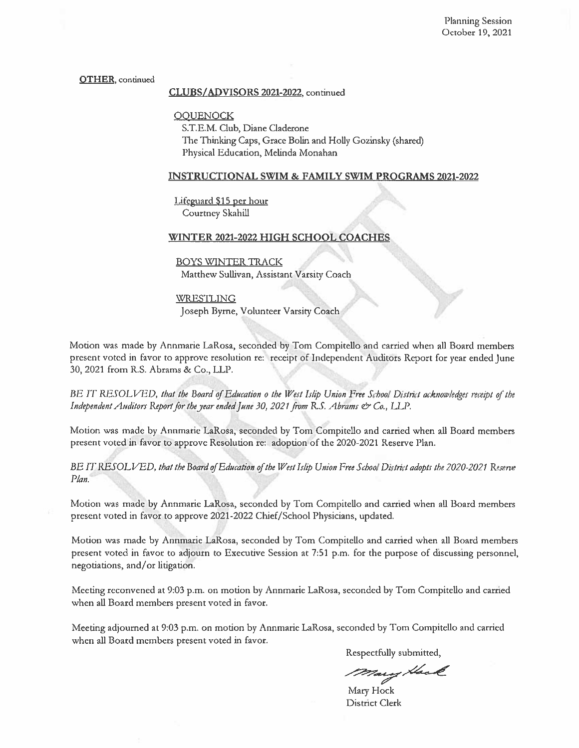#### **OTHER**, continued

#### CLUBS/ADVISORS 2021-2022, continued

**OOUENOCK** 

S.T.E.M. Club, Diane Claderone The Thinking Caps, Grace Bolin and Holly Gozinsky (shared) Physical Education, Melinda Monahan

#### **INSTRUCTIONAL SWIM & FAMILY SWIM PROGRAMS 2021-2022**

Lifeguard \$15 per hour Courtney Skahill

#### WINTER 2021-2022 HIGH SCHOOL COACHES

#### **BOYS WINTER TRACK**

Matthew Sullivan, Assistant Varsity Coach

**WRESTLING** Joseph Byrne, Volunteer Varsity Coach

Motion was made by Annmarie LaRosa, seconded by Tom Compitello and carried when all Board members present voted in favor to approve resolution re: receipt of Independent Auditors Report for year ended June 30, 2021 from R.S. Abrams & Co., LLP.

BE IT RESOLVED, that the Board of Education o the West Islip Union Free School District acknowledges receipt of the Independent Auditors Report for the year ended June 30, 2021 from R.S. Abrams & Co., L.L.P.

Motion was made by Annmarie LaRosa, seconded by Tom Compitello and carried when all Board members present voted in favor to approve Resolution re: adoption of the 2020-2021 Reserve Plan.

BE IT RESOLVED, that the Board of Education of the West Islip Union Free School District adopts the 2020-2021 Reserve Plan.

Motion was made by Annmarie LaRosa, seconded by Tom Compitello and carried when all Board members present voted in favor to approve 2021-2022 Chief/School Physicians, updated.

Motion was made by Annmarie LaRosa, seconded by Tom Compitello and carried when all Board members present voted in favor to adjourn to Executive Session at 7:51 p.m. for the purpose of discussing personnel, negotiations, and/or litigation.

Meeting reconvened at 9:03 p.m. on motion by Annmarie LaRosa, seconded by Tom Compitello and carried when all Board members present voted in favor.

Meeting adjourned at 9:03 p.m. on motion by Annmarie LaRosa, seconded by Tom Compitello and carried when all Board members present voted in favor.

Respectfully submitted,

Mary Hack

Mary Hock District Clerk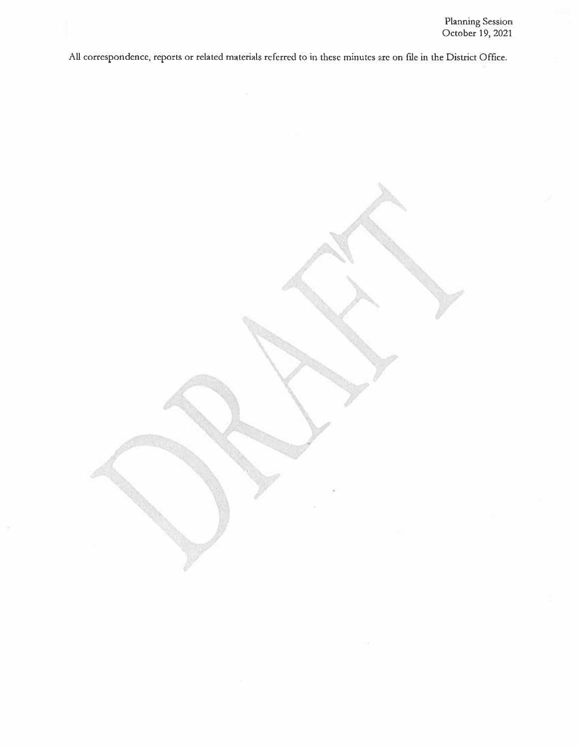All correspondence, reports or related materials referred to in these minutes are on file in the District Office.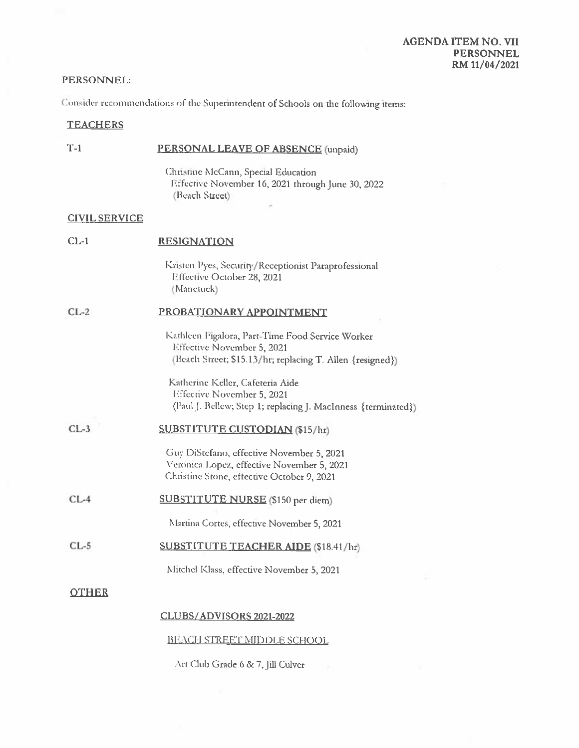# PERSONNEL:

Consider recommendations of the Superintendent of Schools on the following items:

# **TEACHERS**

| $T-1$                | PERSONAL LEAVE OF ABSENCE (unpaid)                                                                                                          |  |
|----------------------|---------------------------------------------------------------------------------------------------------------------------------------------|--|
|                      | Christine McCann, Special Education<br>Effective November 16, 2021 through June 30, 2022<br>(Beach Street)                                  |  |
| <b>CIVIL SERVICE</b> |                                                                                                                                             |  |
| $CL-1$               | <b>RESIGNATION</b>                                                                                                                          |  |
|                      | Kristen Pyes, Security/Receptionist Paraprofessional<br>Effective October 28, 2021<br>(Manetuck)                                            |  |
| $CL-2$               | PROBATIONARY APPOINTMENT                                                                                                                    |  |
|                      | Kathleen Figalora, Part-Time Food Service Worker<br>Effective November 5, 2021<br>(Beach Street; \$15.13/hr; replacing T. Allen {resigned}) |  |
|                      | Katherine Keller, Cafeteria Aide<br>Effective November 5, 2021<br>(Paul J. Bellew; Step 1; replacing J. MacInness {terminated})             |  |
| $CL-3$               | <b>SUBSTITUTE CUSTODIAN (\$15/hr)</b>                                                                                                       |  |
|                      | Guy DiStefano, effective November 5, 2021<br>Veronica Lopez, effective November 5, 2021<br>Christine Stone, effective October 9, 2021       |  |
| $CL-4$               | <b>SUBSTITUTE NURSE</b> (\$150 per diem)                                                                                                    |  |
|                      | Martina Cortes, effective November 5, 2021                                                                                                  |  |
| CL-5                 | <b>SUBSTITUTE TEACHER AIDE (\$18.41/hr)</b>                                                                                                 |  |
|                      | Mitchel Klass, effective November 5, 2021                                                                                                   |  |
| <b>OTHER</b>         |                                                                                                                                             |  |
|                      | CLUBS/ADVISORS 2021-2022                                                                                                                    |  |
|                      | <b>BLACH STREET MIDDLE SCHOOL</b>                                                                                                           |  |

Art Club Grade 6 & 7, Jill Culver

 $\bar{\sigma}$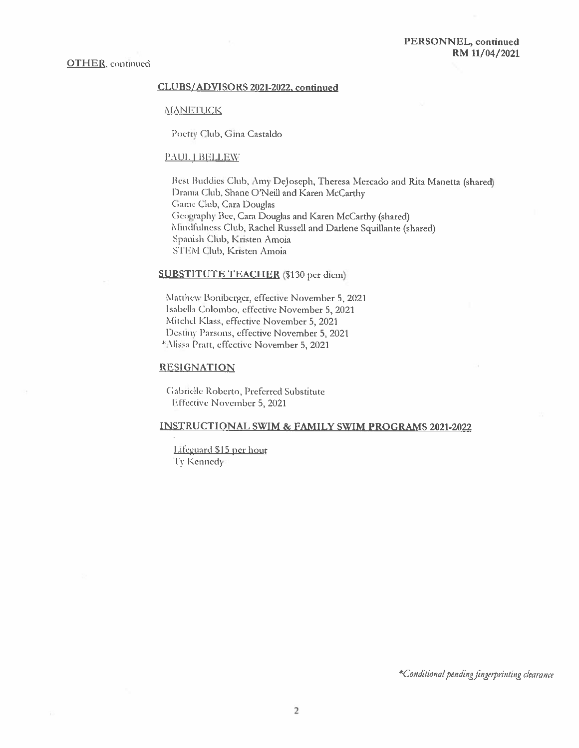#### CLUBS/ADVISORS 2021-2022, continued

#### **MANETUCK**

Poetry Club, Gina Castaldo

#### PAUL J BELLEW

Best Buddies Club, Amy DeJoseph, Theresa Mercado and Rita Manetta (shared) Drama Club, Shane O'Neill and Karen McCarthy Game Club, Cara Douglas Geography Bee, Cara Douglas and Karen McCarthy (shared) Mindfulness Club, Rachel Russell and Darlene Squillante (shared) Spanish Club, Kristen Amoia STEM Club, Kristen Amoia

## **SUBSTITUTE TEACHER** (\$130 per diem)

Matthew Boniberger, effective November 5, 2021 Isabella Colombo, effective November 5, 2021 Mitchel Klass, effective November 5, 2021 Destiny Parsons, effective November 5, 2021 \*Alissa Pratt, effective November 5, 2021

#### **RESIGNATION**

Gabrielle Roberto, Preferred Substitute Effective November 5, 2021

#### INSTRUCTIONAL SWIM & FAMILY SWIM PROGRAMS 2021-2022

Lifeguard \$15 per hour Ty Kennedy

\*Conditional pending fingerprinting clearance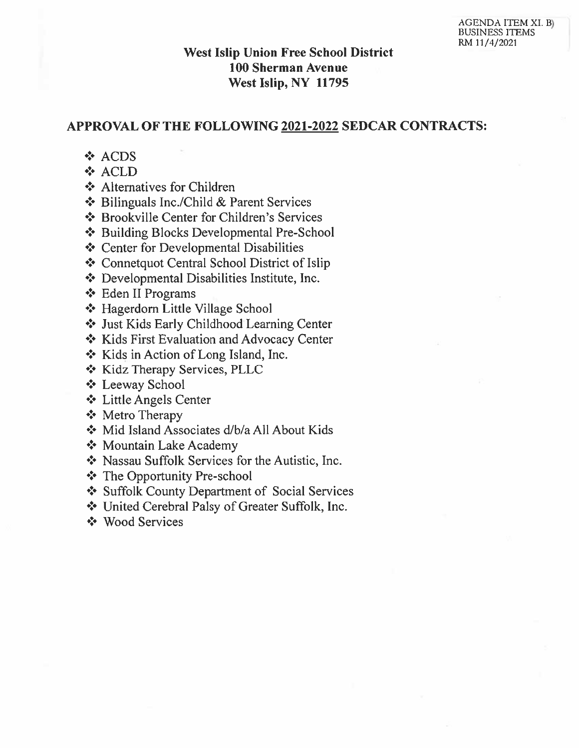# **West Islip Union Free School District 100 Sherman Avenue** West Islip, NY 11795

# APPROVAL OF THE FOLLOWING 2021-2022 SEDCAR CONTRACTS:

- ❖ ACDS
- ❖ ACLD
- ❖ Alternatives for Children
- ❖ Bilinguals Inc./Child & Parent Services
- ❖ Brookville Center for Children's Services
- ❖ Building Blocks Developmental Pre-School
- ❖ Center for Developmental Disabilities
- ❖ Connetquot Central School District of Islip
- ❖ Developmental Disabilities Institute, Inc.
- ❖ Eden II Programs
- ❖ Hagerdorn Little Village School
- Ust Kids Early Childhood Learning Center
- ❖ Kids First Evaluation and Advocacy Center
- ❖ Kids in Action of Long Island, Inc.
- ❖ Kidz Therapy Services, PLLC
- ❖ Leeway School
- ❖ Little Angels Center
- ❖ Metro Therapy
- Mid Island Associates d/b/a All About Kids
- ❖ Mountain Lake Academy
- \* Nassau Suffolk Services for the Autistic, Inc.
- ❖ The Opportunity Pre-school
- Suffolk County Department of Social Services
- United Cerebral Palsy of Greater Suffolk, Inc.
- ❖ Wood Services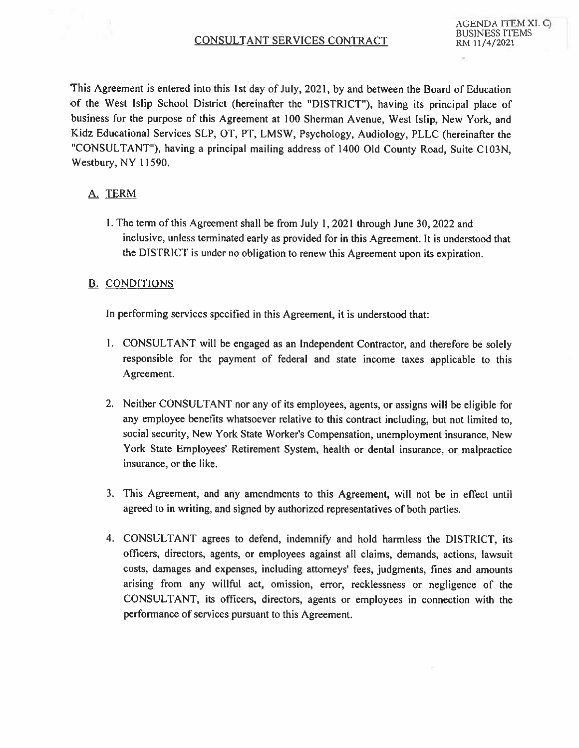This Agreement is entered into this 1st day of July, 2021, by and between the Board of Education of the West Islip School District (hereinafter the "DISTRICT"), having its principal place of business for the purpose of this Agreement at 100 Sherman Avenue, West Islip, New York, and Kidz Educational Services SLP, OT, PT, LMSW, Psychology, Audiology, PLLC (hereinafter the "CONSULTANT"), having a principal mailing address of 1400 Old County Road, Suite C103N, Westbury, NY 11590.

# A. TERM

1. The term of this Agreement shall be from July 1, 2021 through June 30, 2022 and inclusive, unless terminated early as provided for in this Agreement. It is understood that the DISTRICT is under no obligation to renew this Agreement upon its expiration.

# **B. CONDITIONS**

In performing services specified in this Agreement, it is understood that:

- 1. CONSULTANT will be engaged as an Independent Contractor, and therefore be solely responsible for the payment of federal and state income taxes applicable to this Agreement.
- 2. Neither CONSULTANT nor any of its employees, agents, or assigns will be eligible for any employee benefits whatsoever relative to this contract including, but not limited to, social security, New York State Worker's Compensation, unemployment insurance, New York State Employees' Retirement System, health or dental insurance, or malpractice insurance, or the like.
- 3. This Agreement, and any amendments to this Agreement, will not be in effect until agreed to in writing, and signed by authorized representatives of both parties.
- 4. CONSULTANT agrees to defend, indemnify and hold harmless the DISTRICT, its officers, directors, agents, or employees against all claims, demands, actions, lawsuit costs, damages and expenses, including attorneys' fees, judgments, fines and amounts arising from any willful act, omission, error, recklessness or negligence of the CONSULTANT, its officers, directors, agents or employees in connection with the performance of services pursuant to this Agreement.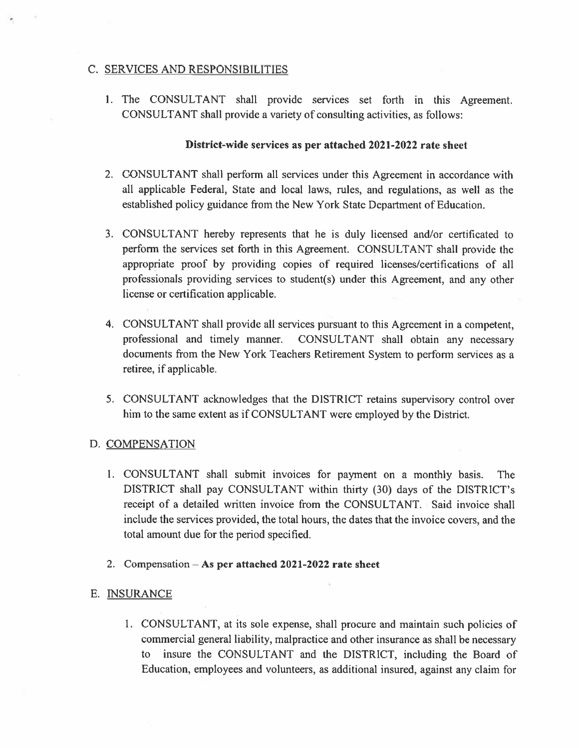# C. SERVICES AND RESPONSIBILITIES

1. The CONSULTANT shall provide services set forth in this Agreement. CONSULTANT shall provide a variety of consulting activities, as follows:

# District-wide services as per attached 2021-2022 rate sheet

- 2. CONSULTANT shall perform all services under this Agreement in accordance with all applicable Federal, State and local laws, rules, and regulations, as well as the established policy guidance from the New York State Department of Education.
- 3. CONSULTANT hereby represents that he is duly licensed and/or certificated to perform the services set forth in this Agreement. CONSULTANT shall provide the appropriate proof by providing copies of required licenses/certifications of all professionals providing services to student(s) under this Agreement, and any other license or certification applicable.
- 4. CONSULTANT shall provide all services pursuant to this Agreement in a competent, professional and timely manner. CONSULTANT shall obtain any necessary documents from the New York Teachers Retirement System to perform services as a retiree, if applicable.
- 5. CONSULTANT acknowledges that the DISTRICT retains supervisory control over him to the same extent as if CONSULTANT were employed by the District.

# D. COMPENSATION

- 1. CONSULTANT shall submit invoices for payment on a monthly basis. The DISTRICT shall pay CONSULTANT within thirty (30) days of the DISTRICT's receipt of a detailed written invoice from the CONSULTANT. Said invoice shall include the services provided, the total hours, the dates that the invoice covers, and the total amount due for the period specified.
- 2. Compensation  $-$  As per attached 2021-2022 rate sheet

# E. INSURANCE

1. CONSULTANT, at its sole expense, shall procure and maintain such policies of commercial general liability, malpractice and other insurance as shall be necessary to insure the CONSULTANT and the DISTRICT, including the Board of Education, employees and volunteers, as additional insured, against any claim for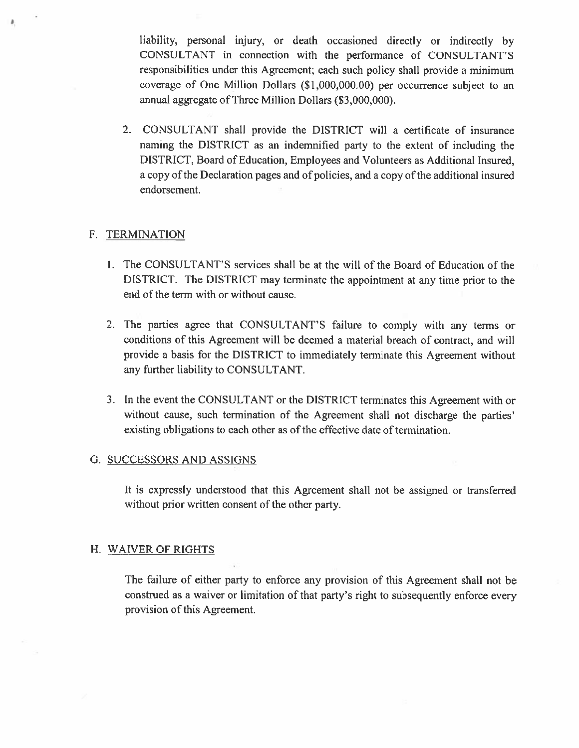liability, personal injury, or death occasioned directly or indirectly by CONSULTANT in connection with the performance of CONSULTANT'S responsibilities under this Agreement; each such policy shall provide a minimum coverage of One Million Dollars (\$1,000,000.00) per occurrence subject to an annual aggregate of Three Million Dollars (\$3,000,000).

2. CONSULTANT shall provide the DISTRICT will a certificate of insurance naming the DISTRICT as an indemnified party to the extent of including the DISTRICT, Board of Education, Employees and Volunteers as Additional Insured, a copy of the Declaration pages and of policies, and a copy of the additional insured endorsement.

# F. TERMINATION

- 1. The CONSULTANT'S services shall be at the will of the Board of Education of the DISTRICT. The DISTRICT may terminate the appointment at any time prior to the end of the term with or without cause.
- 2. The parties agree that CONSULTANT'S failure to comply with any terms or conditions of this Agreement will be deemed a material breach of contract, and will provide a basis for the DISTRICT to immediately terminate this Agreement without any further liability to CONSULTANT.
- 3. In the event the CONSULTANT or the DISTRICT terminates this Agreement with or without cause, such termination of the Agreement shall not discharge the parties' existing obligations to each other as of the effective date of termination.

# G. SUCCESSORS AND ASSIGNS

It is expressly understood that this Agreement shall not be assigned or transferred without prior written consent of the other party.

# H. WAIVER OF RIGHTS

The failure of either party to enforce any provision of this Agreement shall not be construed as a waiver or limitation of that party's right to subsequently enforce every provision of this Agreement.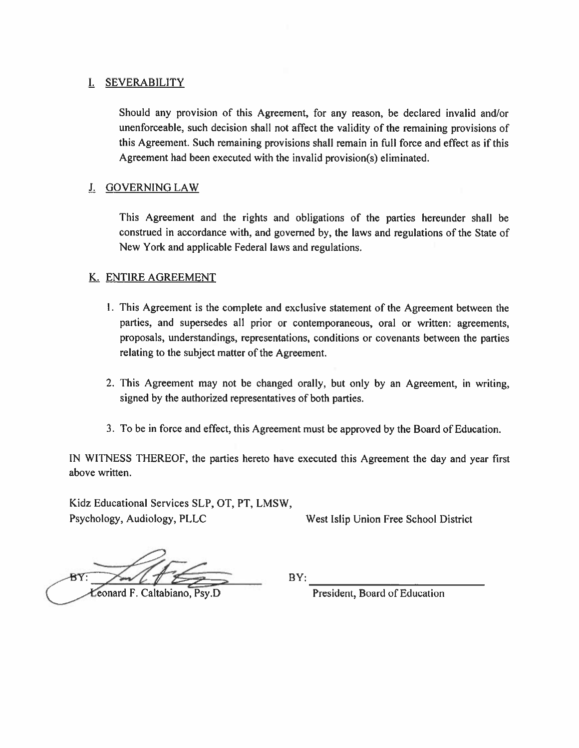# I. SEVERABILITY

Should any provision of this Agreement, for any reason, be declared invalid and/or unenforceable, such decision shall not affect the validity of the remaining provisions of this Agreement. Such remaining provisions shall remain in full force and effect as if this Agreement had been executed with the invalid provision(s) eliminated.

# J. GOVERNING LAW

This Agreement and the rights and obligations of the parties hereunder shall be construed in accordance with, and governed by, the laws and regulations of the State of New York and applicable Federal laws and regulations.

# K. ENTIRE AGREEMENT

- 1. This Agreement is the complete and exclusive statement of the Agreement between the parties, and supersedes all prior or contemporaneous, oral or written: agreements, proposals, understandings, representations, conditions or covenants between the parties relating to the subject matter of the Agreement.
- 2. This Agreement may not be changed orally, but only by an Agreement, in writing, signed by the authorized representatives of both parties.
- 3. To be in force and effect, this Agreement must be approved by the Board of Education.

IN WITNESS THEREOF, the parties hereto have executed this Agreement the day and year first above written.

Kidz Educational Services SLP, OT, PT, LMSW, Psychology, Audiology, PLLC

West Islip Union Free School District

Leonard F. Caltabiano, Psy,D

BY:

President, Board of Education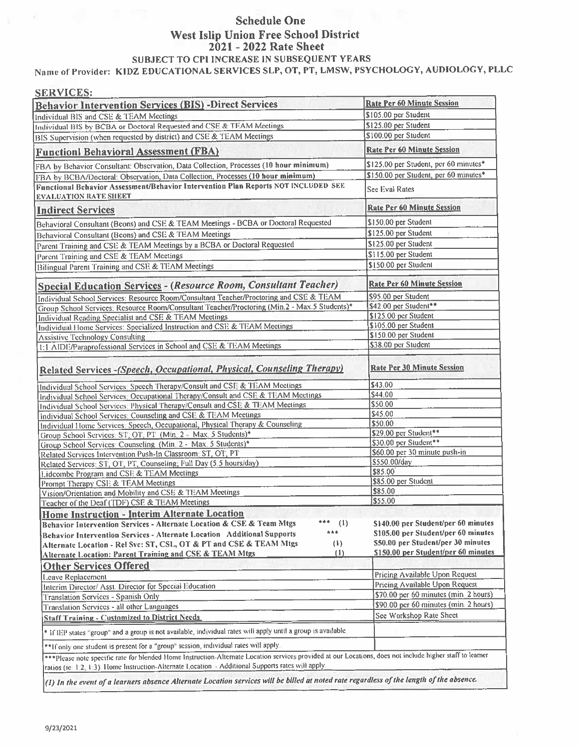# **Schedule One** West Islip Union Free School District 2021 - 2022 Rate Sheet SUBJECT TO CPI INCREASE IN SUBSEQUENT YEARS

Name of Provider: KIDZ EDUCATIONAL SERVICES SLP, OT, PT, LMSW, PSYCHOLOGY, AUDIOLOGY, PLLC

| <b>SERVICES:</b>                                                                                                                                                                                                                                                |                                                                           |
|-----------------------------------------------------------------------------------------------------------------------------------------------------------------------------------------------------------------------------------------------------------------|---------------------------------------------------------------------------|
| <b>Behavior Intervention Services (BIS) -Direct Services</b>                                                                                                                                                                                                    | <b>Rate Per 60 Minute Session</b>                                         |
| Individual BIS and CSE & TEAM Meetings                                                                                                                                                                                                                          | \$105.00 per Student                                                      |
| Individual BIS by BCBA or Doctoral Requested and CSE & TEAM Meetings                                                                                                                                                                                            | \$125.00 per Student                                                      |
| BIS Supervision (when requested by district) and CSE & TEAM Meetings                                                                                                                                                                                            | \$100.00 per Student                                                      |
| <b>Functionl Behavioral Assessment (FBA)</b>                                                                                                                                                                                                                    | <b>Rate Per 60 Minute Session</b>                                         |
| FBA by Behavior Consultant: Observation, Data Collection, Processes (10 hour minimum)                                                                                                                                                                           | \$125.00 per Student, per 60 minutes*                                     |
| FBA by BCBA/Doctoral: Observation, Data Collection, Processes (10 hour minimum)                                                                                                                                                                                 | \$150.00 per Student, per 60 minutes*                                     |
| Functional Behavior Assessment/Behavior Intervention Plan Reports NOT INCLUDED SEE<br><b>EVALUATION RATE SHEET</b>                                                                                                                                              | See Eval Rates                                                            |
| <b>Indirect Services</b>                                                                                                                                                                                                                                        | <b>Rate Per 60 Minute Session</b>                                         |
| Behavioral Consultant (Bcons) and CSE & TEAM Meetings - BCBA or Doctoral Requested                                                                                                                                                                              | \$150.00 per Student                                                      |
| Behavioral Consultant (Bcons) and CSE & TEAM Meetings                                                                                                                                                                                                           | \$125.00 per Student                                                      |
| Parent Training and CSE & TEAM Meetings by a BCBA or Doctoral Requested                                                                                                                                                                                         | \$125.00 per Student                                                      |
| Parent Training and CSE & TEAM Meetings                                                                                                                                                                                                                         | \$115.00 per Student                                                      |
| Bilingual Parent Training and CSE & TEAM Meetings                                                                                                                                                                                                               | \$150.00 per Student                                                      |
|                                                                                                                                                                                                                                                                 |                                                                           |
| <b>Special Education Services - (Resource Room, Consultant Teacher)</b>                                                                                                                                                                                         | <b>Rate Per 60 Minute Session</b>                                         |
| Individual School Services: Resource Room/Consultant Teacher/Proctoring and CSE & TEAM                                                                                                                                                                          | \$95.00 per Student                                                       |
| Group School Services: Resource Room/Consultant Teacher/Proctoring (Min.2 - Max.5 Students)*                                                                                                                                                                    | \$42.00 per Student**                                                     |
| Individual Reading Specialist and CSE & TEAM Meetings                                                                                                                                                                                                           | \$125.00 per Student                                                      |
| Individual Home Services: Specialized Instruction and CSE & TEAM Meetings                                                                                                                                                                                       | \$105.00 per Student                                                      |
| <b>Assistive Technology Consulting</b>                                                                                                                                                                                                                          | \$150.00 per Student<br>\$38.00 per Student                               |
| 1:1 AIDE/Paraprofessional Services in School and CSE & TEAM Meetings                                                                                                                                                                                            |                                                                           |
| Related Services - (Speech, Occupational, Physical, Counseling Therapy)                                                                                                                                                                                         | <b>Rate Per 30 Minute Session</b>                                         |
| Individual School Services: Speech Therapy/Consult and CSE & TEAM Meetings                                                                                                                                                                                      | \$43.00                                                                   |
| Individual School Services: Occupational Therapy/Consult and CSE & TEAM Meetings                                                                                                                                                                                | \$44.00                                                                   |
| Individual School Services: Physical Therapy/Consult and CSE & TEAM Meetings                                                                                                                                                                                    | \$50.00                                                                   |
| Individual School Services: Counseling and CSE & TEAM Meetings                                                                                                                                                                                                  | \$45.00                                                                   |
| Individual Home Services: Speech, Occupational, Physical Therapy & Counseling                                                                                                                                                                                   | \$50.00                                                                   |
| Group School Services: ST, OT, PT (Min. 2 - Max 5 Students)*                                                                                                                                                                                                    | \$29.00 per Student**                                                     |
| Group School Services: Counseling (Min. 2 - Max. 5 Students)*                                                                                                                                                                                                   | \$30.00 per Student**                                                     |
| Related Services Intervention Push-In Classroom, ST, OT, PT                                                                                                                                                                                                     | \$60.00 per 30 minute push-in                                             |
| Related Services: ST, OT, PT, Counseling; Full Day (5.5 hours/day)                                                                                                                                                                                              | \$550.00/day                                                              |
| Lidcombe Program and CSE & TEAM Meetings                                                                                                                                                                                                                        | \$85.00                                                                   |
| Prompt Therapy CSE & TEAM Meetings                                                                                                                                                                                                                              | \$85.00 per Student                                                       |
| Vision/Orientation and Mobility and CSE & TEAM Meetings                                                                                                                                                                                                         | \$85.00<br>\$55.00                                                        |
| Teacher of the Deaf (TDF) CSE & TEAM Meetings                                                                                                                                                                                                                   |                                                                           |
| Home Instruction - Interim Alternate Location                                                                                                                                                                                                                   |                                                                           |
| ***<br>Behavior Intervention Services - Alternate Location & CSE & Team Mtgs<br>(1)<br>***                                                                                                                                                                      | \$140.00 per Student/per 60 minutes                                       |
| Behavior Intervention Services - Alternate Location Additional Supports                                                                                                                                                                                         | \$105.00 per Student/per 60 minutes<br>\$50.00 per Student/per 30 minutes |
| (1)<br>Alternate Location - Rel Svc: ST, CSL, OT & PT and CSE & TEAM Mtgs                                                                                                                                                                                       | \$150.00 per Student/per 60 minutes                                       |
| (1)<br><b>Alternate Location: Parent Training and CSE &amp; TEAM Mtgs</b>                                                                                                                                                                                       |                                                                           |
| <b>Other Services Offered</b>                                                                                                                                                                                                                                   |                                                                           |
| <b>Leave Replacement</b>                                                                                                                                                                                                                                        | Pricing Available Upon Request                                            |
| Interim Director/ Asst. Director for Special Education                                                                                                                                                                                                          | Pricing Available Upon Request                                            |
| Translation Services - Spanish Only                                                                                                                                                                                                                             | \$70.00 per 60 minutes (min. 2 hours)                                     |
| Translation Services - all other Languages                                                                                                                                                                                                                      | \$90.00 per 60 minutes (min. 2 hours)                                     |
| <b>Staff Training - Customized to District Needs</b>                                                                                                                                                                                                            | See Workshop Rate Sheet                                                   |
| * If IEP states "group" and a group is not available, individual rates will apply until a group is available.                                                                                                                                                   |                                                                           |
| ** If only one student is present for a "group" session, individual rates will apply.                                                                                                                                                                           |                                                                           |
| ***Please note specific rate for blended Home Instruction-Alternate Location services provided at our Locations, does not include higher staff to learner<br>ratios (ie: 1:2, 1:3). Home Instruction-Alternate Location - Additional Supports rates will apply. |                                                                           |
| (1) In the event of a learners absence Alternate Location services will be billed at noted rate regardless of the length of the absence.                                                                                                                        |                                                                           |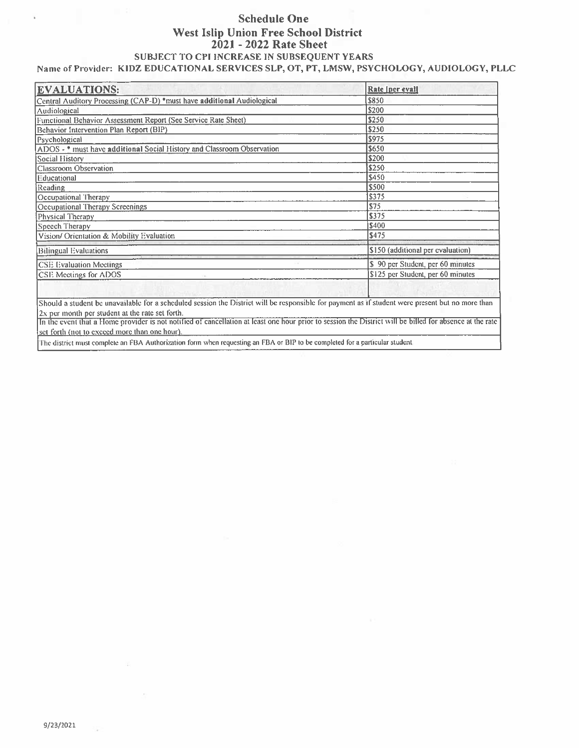# **Schedule One West Islip Union Free School District** 2021 - 2022 Rate Sheet SUBJECT TO CPI INCREASE IN SUBSEQUENT YEARS Name of Provider: KIDZ EDUCATIONAL SERVICES SLP, OT, PT, LMSW, PSYCHOLOGY, AUDIOLOGY, PLLC

| \$850                             |
|-----------------------------------|
|                                   |
| \$200                             |
| \$250                             |
| \$250                             |
| \$975                             |
| \$650                             |
| \$200                             |
| \$250                             |
| \$450                             |
| \$500                             |
| \$375                             |
| S <sub>75</sub>                   |
| \$375                             |
| \$400                             |
| \$475                             |
| \$150 (additional per evaluation) |
| \$ 90 per Student, per 60 minutes |
| \$125 per Student, per 60 minutes |
|                                   |
|                                   |

2x per month per student at the rate set forth.<br>In the event that a Home provider is not notified of cancellation at least one hour prior to session the District will be billed for absence at the rate set forth (not to exceed more than one hour).

The district must complete an FBA Authorization form when requesting an FBA or BIP to be completed for a particular student.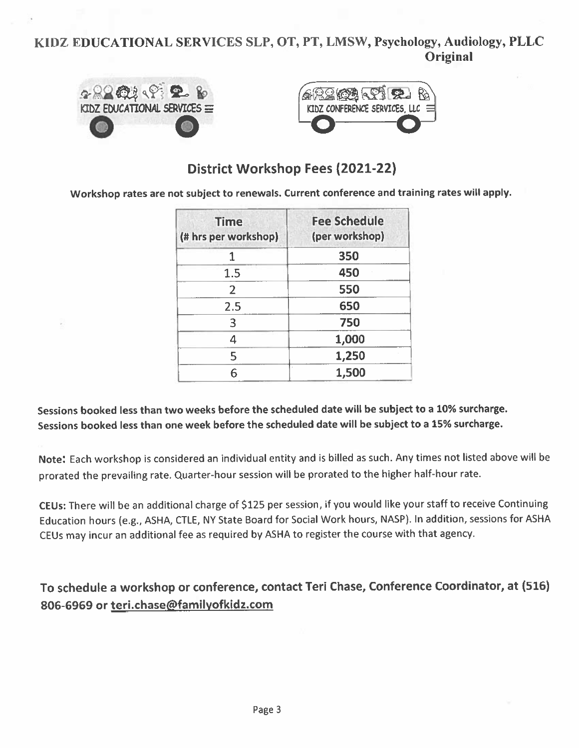# KIDZ EDUCATIONAL SERVICES SLP, OT, PT, LMSW, Psychology, Audiology, PLLC Original



# District Workshop Fees (2021-22)

Workshop rates are not subject to renewals. Current conference and training rates will apply.

| <b>Time</b><br>(# hrs per workshop) | <b>Fee Schedule</b><br>(per workshop) |
|-------------------------------------|---------------------------------------|
| 1                                   | 350                                   |
| 1.5                                 | 450                                   |
| $\overline{2}$                      | 550                                   |
| 2.5                                 | 650                                   |
| 3                                   | 750                                   |
| 4                                   | 1,000                                 |
| 5                                   | 1,250                                 |
| 6                                   | 1,500                                 |

# Sessions booked less than two weeks before the scheduled date will be subject to a 10% surcharge. Sessions booked less than one week before the scheduled date will be subject to a 15% surcharge.

Note: Each workshop is considered an individual entity and is billed as such. Any times not listed above will be prorated the prevailing rate. Quarter-hour session will be prorated to the higher half-hour rate.

CEUs: There will be an additional charge of \$125 per session, if you would like your staff to receive Continuing Education hours (e.g., ASHA, CTLE, NY State Board for Social Work hours, NASP). In addition, sessions for ASHA CEUs may incur an additional fee as required by ASHA to register the course with that agency.

# To schedule a workshop or conference, contact Teri Chase, Conference Coordinator, at (516) 806-6969 or teri.chase@familyofkidz.com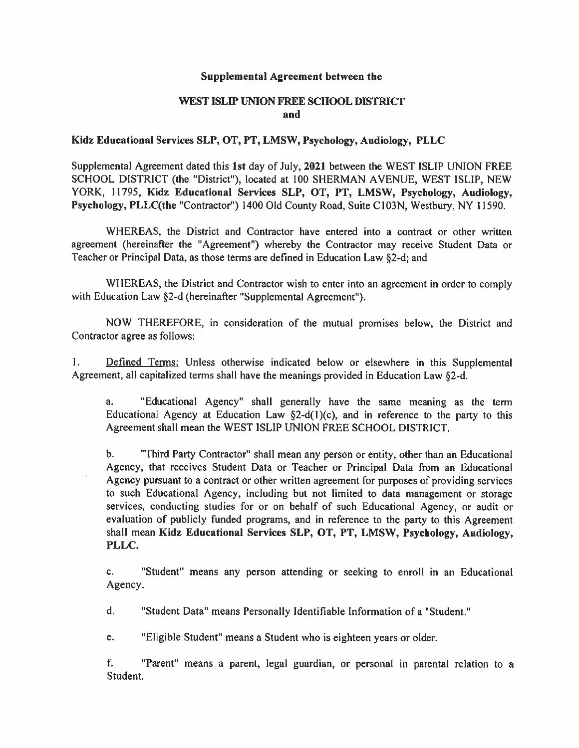## Supplemental Agreement between the

# WEST ISLIP UNION FREE SCHOOL DISTRICT and

## Kidz Educational Services SLP, OT, PT, LMSW, Psychology, Audiology, PLLC

Supplemental Agreement dated this 1st day of July, 2021 between the WEST ISLIP UNION FREE SCHOOL DISTRICT (the "District"), located at 100 SHERMAN AVENUE, WEST ISLIP, NEW YORK, 11795, Kidz Educational Services SLP, OT, PT, LMSW, Psychology, Audiology, Psychology, PLLC(the "Contractor") 1400 Old County Road, Suite C103N, Westbury, NY 11590.

WHEREAS, the District and Contractor have entered into a contract or other written agreement (hereinafter the "Agreement") whereby the Contractor may receive Student Data or Teacher or Principal Data, as those terms are defined in Education Law §2-d; and

WHEREAS, the District and Contractor wish to enter into an agreement in order to comply with Education Law §2-d (hereinafter "Supplemental Agreement").

NOW THEREFORE, in consideration of the mutual promises below, the District and Contractor agree as follows:

 $\mathbf{1}$ . Defined Terms: Unless otherwise indicated below or elsewhere in this Supplemental Agreement, all capitalized terms shall have the meanings provided in Education Law §2-d.

"Educational Agency" shall generally have the same meaning as the term a. Educational Agency at Education Law  $\S2-d(1)(c)$ , and in reference to the party to this Agreement shall mean the WEST ISLIP UNION FREE SCHOOL DISTRICT.

 $\mathbf{b}$ . "Third Party Contractor" shall mean any person or entity, other than an Educational Agency, that receives Student Data or Teacher or Principal Data from an Educational Agency pursuant to a contract or other written agreement for purposes of providing services to such Educational Agency, including but not limited to data management or storage services, conducting studies for or on behalf of such Educational Agency, or audit or evaluation of publicly funded programs, and in reference to the party to this Agreement shall mean Kidz Educational Services SLP, OT, PT, LMSW, Psychology, Audiology, PLLC.

"Student" means any person attending or seeking to enroll in an Educational  $c_{\rm r}$ Agency.

d. "Student Data" means Personally Identifiable Information of a "Student."

e. "Eligible Student" means a Student who is eighteen years or older.

f. "Parent" means a parent, legal guardian, or personal in parental relation to a Student.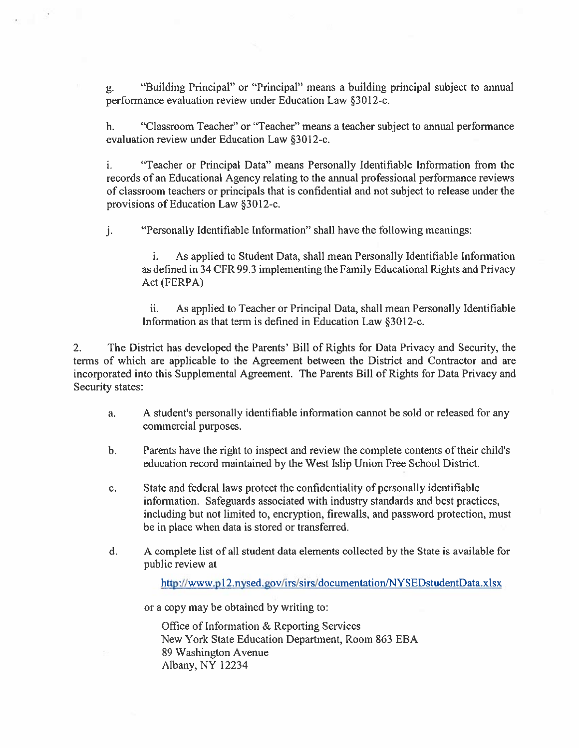"Building Principal" or "Principal" means a building principal subject to annual g. performance evaluation review under Education Law §3012-c.

"Classroom Teacher" or "Teacher" means a teacher subject to annual performance  $\mathbf{h}$ . evaluation review under Education Law §3012-c.

"Teacher or Principal Data" means Personally Identifiable Information from the  $\mathbf{i}$ . records of an Educational Agency relating to the annual professional performance reviews of classroom teachers or principals that is confidential and not subject to release under the provisions of Education Law §3012-c.

 $\mathbf{i}$ . "Personally Identifiable Information" shall have the following meanings:

As applied to Student Data, shall mean Personally Identifiable Information as defined in 34 CFR 99.3 implementing the Family Educational Rights and Privacy Act (FERPA)

ii. As applied to Teacher or Principal Data, shall mean Personally Identifiable Information as that term is defined in Education Law §3012-c.

 $2.$ The District has developed the Parents' Bill of Rights for Data Privacy and Security, the terms of which are applicable to the Agreement between the District and Contractor and are incorporated into this Supplemental Agreement. The Parents Bill of Rights for Data Privacy and Security states:

- A student's personally identifiable information cannot be sold or released for any a. commercial purposes.
- Parents have the right to inspect and review the complete contents of their child's  $\mathbf b$ . education record maintained by the West Islip Union Free School District.
- State and federal laws protect the confidentiality of personally identifiable c. information. Safeguards associated with industry standards and best practices, including but not limited to, encryption, firewalls, and password protection, must be in place when data is stored or transferred.
- d. A complete list of all student data elements collected by the State is available for public review at

http://www.p12.nysed.gov/irs/sirs/documentation/NYSEDstudentData.xlsx

or a copy may be obtained by writing to:

Office of Information & Reporting Services New York State Education Department, Room 863 EBA 89 Washington Avenue Albany, NY 12234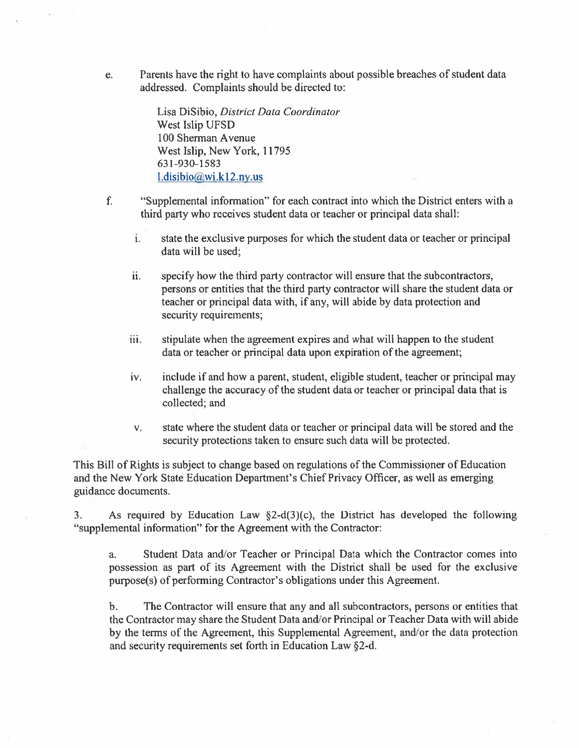Parents have the right to have complaints about possible breaches of student data e. addressed. Complaints should be directed to:

> Lisa DiSibio, District Data Coordinator West Islip UFSD 100 Sherman Avenue West Islip, New York, 11795 631-930-1583  $l.disibio@wi.k12 ny.us$

- "Supplemental information" for each contract into which the District enters with a f. third party who receives student data or teacher or principal data shall:
	- state the exclusive purposes for which the student data or teacher or principal  $\mathbf{i}$ . data will be used;
	- specify how the third party contractor will ensure that the subcontractors, ii. persons or entities that the third party contractor will share the student data or teacher or principal data with, if any, will abide by data protection and security requirements;
	- iii. stipulate when the agreement expires and what will happen to the student data or teacher or principal data upon expiration of the agreement;
	- include if and how a parent, student, eligible student, teacher or principal may iv. challenge the accuracy of the student data or teacher or principal data that is collected; and
	- state where the student data or teacher or principal data will be stored and the  $V_{\star}$ security protections taken to ensure such data will be protected.

This Bill of Rights is subject to change based on regulations of the Commissioner of Education and the New York State Education Department's Chief Privacy Officer, as well as emerging guidance documents.

As required by Education Law  $\S$ 2-d(3)(c), the District has developed the following 3. "supplemental information" for the Agreement with the Contractor:

Student Data and/or Teacher or Principal Data which the Contractor comes into a. possession as part of its Agreement with the District shall be used for the exclusive purpose(s) of performing Contractor's obligations under this Agreement.

 $<sub>b</sub>$ .</sub> The Contractor will ensure that any and all subcontractors, persons or entities that the Contractor may share the Student Data and/or Principal or Teacher Data with will abide by the terms of the Agreement, this Supplemental Agreement, and/or the data protection and security requirements set forth in Education Law §2-d.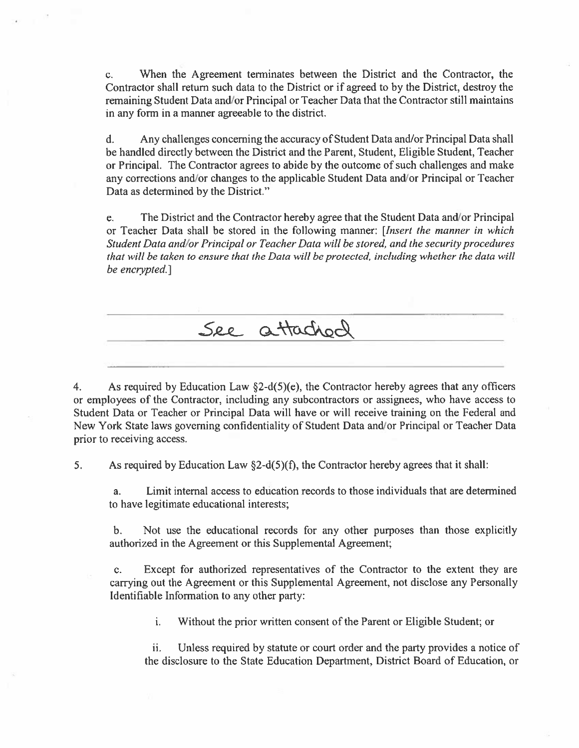When the Agreement terminates between the District and the Contractor, the  $C_{\star}$ Contractor shall return such data to the District or if agreed to by the District, destroy the remaining Student Data and/or Principal or Teacher Data that the Contractor still maintains in any form in a manner agreeable to the district.

 $d_{\cdot}$ Any challenges concerning the accuracy of Student Data and/or Principal Data shall be handled directly between the District and the Parent, Student, Eligible Student, Teacher or Principal. The Contractor agrees to abide by the outcome of such challenges and make any corrections and/or changes to the applicable Student Data and/or Principal or Teacher Data as determined by the District."

The District and the Contractor hereby agree that the Student Data and/or Principal e. or Teacher Data shall be stored in the following manner: [Insert the manner in which Student Data and/or Principal or Teacher Data will be stored, and the security procedures that will be taken to ensure that the Data will be protected, including whether the data will be encrypted.]



 $\overline{4}$ As required by Education Law  $\S2-d(5)(e)$ , the Contractor hereby agrees that any officers or employees of the Contractor, including any subcontractors or assignees, who have access to Student Data or Teacher or Principal Data will have or will receive training on the Federal and New York State laws governing confidentiality of Student Data and/or Principal or Teacher Data prior to receiving access.

As required by Education Law  $\S$ 2-d(5)(f), the Contractor hereby agrees that it shall:  $5<sub>1</sub>$ 

Limit internal access to education records to those individuals that are determined a. to have legitimate educational interests;

Not use the educational records for any other purposes than those explicitly  $\mathbf{b}$ . authorized in the Agreement or this Supplemental Agreement;

Except for authorized representatives of the Contractor to the extent they are  $\mathbf{c}$ . carrying out the Agreement or this Supplemental Agreement, not disclose any Personally Identifiable Information to any other party:

> i. Without the prior written consent of the Parent or Eligible Student; or

ii. Unless required by statute or court order and the party provides a notice of the disclosure to the State Education Department, District Board of Education, or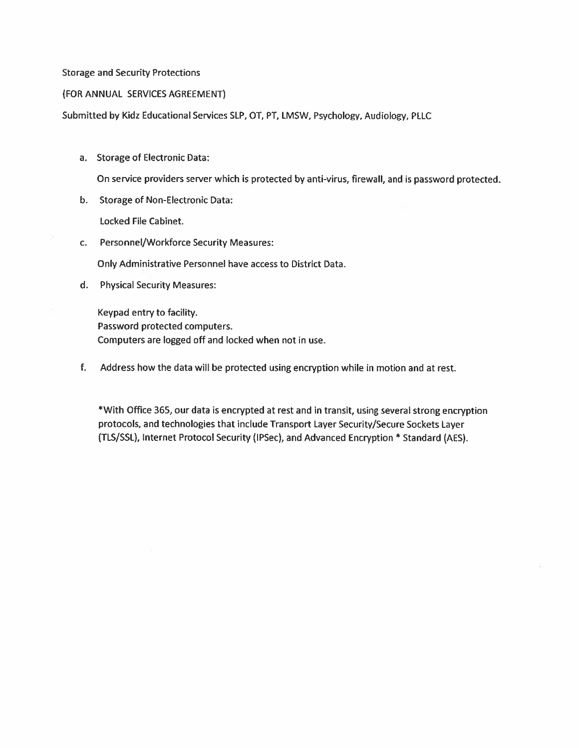### **Storage and Security Protections**

#### (FOR ANNUAL SERVICES AGREEMENT)

Submitted by Kidz Educational Services SLP, OT, PT, LMSW, Psychology, Audiology, PLLC

a. Storage of Electronic Data:

On service providers server which is protected by anti-virus, firewall, and is password protected.

b. Storage of Non-Electronic Data:

Locked File Cabinet.

c. Personnel/Workforce Security Measures:

Only Administrative Personnel have access to District Data.

d. Physical Security Measures:

Keypad entry to facility. Password protected computers. Computers are logged off and locked when not in use.

f. Address how the data will be protected using encryption while in motion and at rest.

\*With Office 365, our data is encrypted at rest and in transit, using several strong encryption protocols, and technologies that include Transport Layer Security/Secure Sockets Layer (TLS/SSL), Internet Protocol Security (IPSec), and Advanced Encryption \* Standard (AES).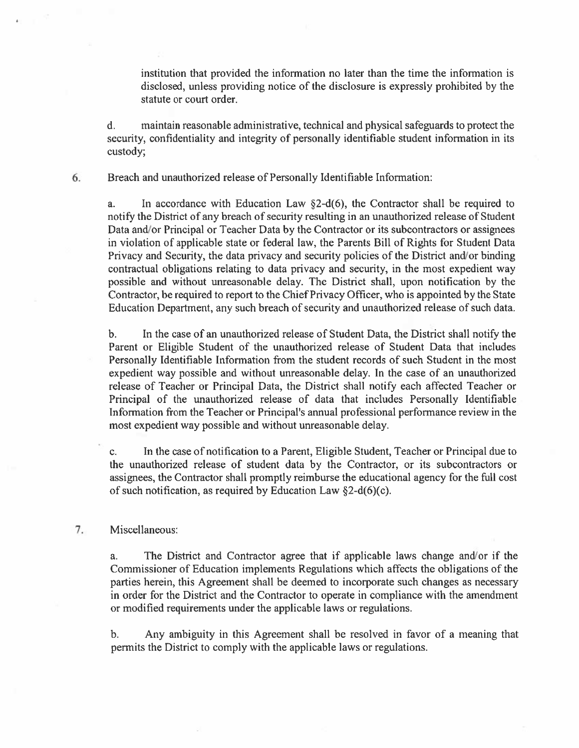institution that provided the information no later than the time the information is disclosed, unless providing notice of the disclosure is expressly prohibited by the statute or court order.

maintain reasonable administrative, technical and physical safeguards to protect the  $\mathbf{d}$ . security, confidentiality and integrity of personally identifiable student information in its custody;

6. Breach and unauthorized release of Personally Identifiable Information:

In accordance with Education Law  $\S$ 2-d(6), the Contractor shall be required to a. notify the District of any breach of security resulting in an unauthorized release of Student Data and/or Principal or Teacher Data by the Contractor or its subcontractors or assignees in violation of applicable state or federal law, the Parents Bill of Rights for Student Data Privacy and Security, the data privacy and security policies of the District and/or binding contractual obligations relating to data privacy and security, in the most expedient way possible and without unreasonable delay. The District shall, upon notification by the Contractor, be required to report to the Chief Privacy Officer, who is appointed by the State Education Department, any such breach of security and unauthorized release of such data.

 $<sub>b</sub>$ .</sub> In the case of an unauthorized release of Student Data, the District shall notify the Parent or Eligible Student of the unauthorized release of Student Data that includes Personally Identifiable Information from the student records of such Student in the most expedient way possible and without unreasonable delay. In the case of an unauthorized release of Teacher or Principal Data, the District shall notify each affected Teacher or Principal of the unauthorized release of data that includes Personally Identifiable Information from the Teacher or Principal's annual professional performance review in the most expedient way possible and without unreasonable delay.

In the case of notification to a Parent, Eligible Student, Teacher or Principal due to  $\mathbf{c}$ . the unauthorized release of student data by the Contractor, or its subcontractors or assignees, the Contractor shall promptly reimburse the educational agency for the full cost of such notification, as required by Education Law  $\S2-d(6)(c)$ .

#### 7. Miscellaneous:

The District and Contractor agree that if applicable laws change and/or if the a. Commissioner of Education implements Regulations which affects the obligations of the parties herein, this Agreement shall be deemed to incorporate such changes as necessary in order for the District and the Contractor to operate in compliance with the amendment or modified requirements under the applicable laws or regulations.

Any ambiguity in this Agreement shall be resolved in favor of a meaning that b. permits the District to comply with the applicable laws or regulations.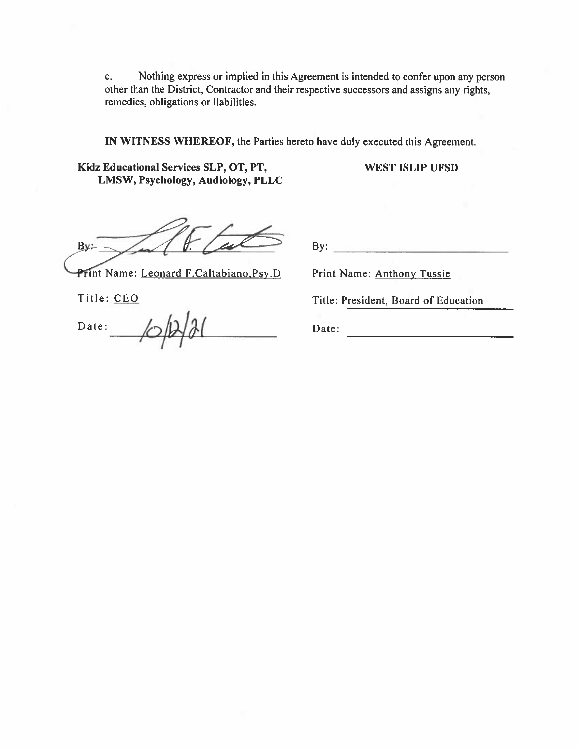Nothing express or implied in this Agreement is intended to confer upon any person  $c_{\star}$ other than the District, Contractor and their respective successors and assigns any rights, remedies, obligations or liabilities.

IN WITNESS WHEREOF, the Parties hereto have duly executed this Agreement.

Kidz Educational Services SLP, OT, PT, LMSW, Psychology, Audiology, PLLC **WEST ISLIP UFSD** 

By.

Print Name: Leonard F.Caltabiano, Psy.D

Title: CEO

Date:

 $By:$ 

Print Name: Anthony Tussie

Title: President, Board of Education

Date: